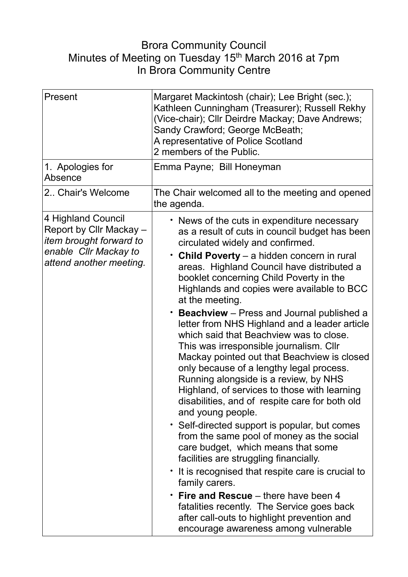## Brora Community Council Minutes of Meeting on Tuesday 15<sup>th</sup> March 2016 at 7pm In Brora Community Centre

| Present                                                                                                                             | Margaret Mackintosh (chair); Lee Bright (sec.);<br>Kathleen Cunningham (Treasurer); Russell Rekhy<br>(Vice-chair); Cllr Deirdre Mackay; Dave Andrews;<br>Sandy Crawford; George McBeath;<br>A representative of Police Scotland<br>2 members of the Public.                                                                                                                                                                                                                                                                                                                                                                                                                                                                                                                                                                                                                                                                                                                                                                                                                                                                                                                                                                               |
|-------------------------------------------------------------------------------------------------------------------------------------|-------------------------------------------------------------------------------------------------------------------------------------------------------------------------------------------------------------------------------------------------------------------------------------------------------------------------------------------------------------------------------------------------------------------------------------------------------------------------------------------------------------------------------------------------------------------------------------------------------------------------------------------------------------------------------------------------------------------------------------------------------------------------------------------------------------------------------------------------------------------------------------------------------------------------------------------------------------------------------------------------------------------------------------------------------------------------------------------------------------------------------------------------------------------------------------------------------------------------------------------|
| 1. Apologies for<br>Absence                                                                                                         | Emma Payne; Bill Honeyman                                                                                                                                                                                                                                                                                                                                                                                                                                                                                                                                                                                                                                                                                                                                                                                                                                                                                                                                                                                                                                                                                                                                                                                                                 |
| 2 Chair's Welcome                                                                                                                   | The Chair welcomed all to the meeting and opened<br>the agenda.                                                                                                                                                                                                                                                                                                                                                                                                                                                                                                                                                                                                                                                                                                                                                                                                                                                                                                                                                                                                                                                                                                                                                                           |
| 4 Highland Council<br>Report by Cllr Mackay -<br><i>item brought forward to</i><br>enable Cllr Mackay to<br>attend another meeting. | • News of the cuts in expenditure necessary<br>as a result of cuts in council budget has been<br>circulated widely and confirmed.<br>Child Poverty - a hidden concern in rural<br>areas. Highland Council have distributed a<br>booklet concerning Child Poverty in the<br>Highlands and copies were available to BCC<br>at the meeting.<br>$\cdot$ Beachview – Press and Journal published a<br>letter from NHS Highland and a leader article<br>which said that Beachview was to close.<br>This was irresponsible journalism. Cllr<br>Mackay pointed out that Beachview is closed<br>only because of a lengthy legal process.<br>Running alongside is a review, by NHS<br>Highland, of services to those with learning<br>disabilities, and of respite care for both old<br>and young people.<br>• Self-directed support is popular, but comes<br>from the same pool of money as the social<br>care budget, which means that some<br>facilities are struggling financially.<br>• It is recognised that respite care is crucial to<br>family carers.<br>$\cdot$ Fire and Rescue – there have been 4<br>fatalities recently. The Service goes back<br>after call-outs to highlight prevention and<br>encourage awareness among vulnerable |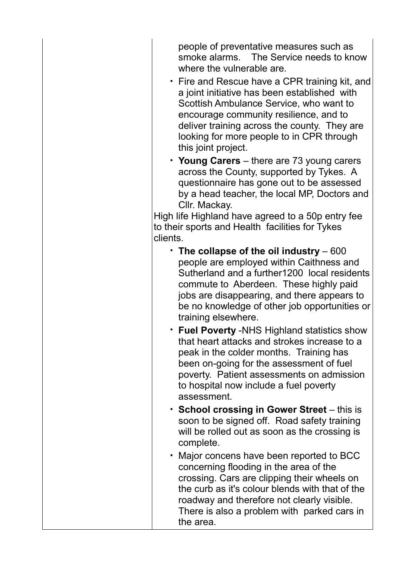people of preventative measures such as smoke alarms. The Service needs to know where the vulnerable are.

- Fire and Rescue have a CPR training kit, and a joint initiative has been established with Scottish Ambulance Service, who want to encourage community resilience, and to deliver training across the county. They are looking for more people to in CPR through this joint project.
- **Young Carers** there are 73 young carers across the County, supported by Tykes. A questionnaire has gone out to be assessed by a head teacher, the local MP, Doctors and Cllr. Mackay.

High life Highland have agreed to a 50p entry fee to their sports and Health facilities for Tykes clients.

- **The collapse of the oil industry**  600 people are employed within Caithness and Sutherland and a further1200 local residents commute to Aberdeen. These highly paid jobs are disappearing, and there appears to be no knowledge of other job opportunities or training elsewhere.
- **Fuel Poverty** -NHS Highland statistics show that heart attacks and strokes increase to a peak in the colder months. Training has been on-going for the assessment of fuel poverty. Patient assessments on admission to hospital now include a fuel poverty assessment.
- **School crossing in Gower Street** this is soon to be signed off. Road safety training will be rolled out as soon as the crossing is complete.
- Major concens have been reported to BCC concerning flooding in the area of the crossing. Cars are clipping their wheels on the curb as it's colour blends with that of the roadway and therefore not clearly visible. There is also a problem with parked cars in the area.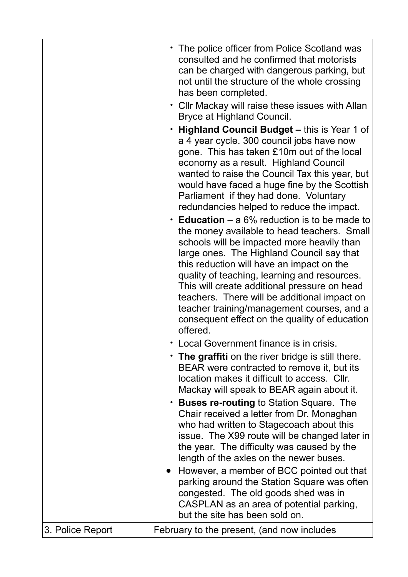|                  | • The police officer from Police Scotland was<br>consulted and he confirmed that motorists<br>can be charged with dangerous parking, but<br>not until the structure of the whole crossing<br>has been completed.<br>• Cllr Mackay will raise these issues with Allan<br>Bryce at Highland Council.<br>• Highland Council Budget – this is Year 1 of<br>a 4 year cycle. 300 council jobs have now<br>gone. This has taken £10m out of the local<br>economy as a result. Highland Council<br>wanted to raise the Council Tax this year, but<br>would have faced a huge fine by the Scottish<br>Parliament if they had done. Voluntary<br>redundancies helped to reduce the impact.<br><b>Education</b> – a 6% reduction is to be made to<br>the money available to head teachers. Small<br>schools will be impacted more heavily than<br>large ones. The Highland Council say that<br>this reduction will have an impact on the<br>quality of teaching, learning and resources.<br>This will create additional pressure on head<br>teachers. There will be additional impact on<br>teacher training/management courses, and a<br>consequent effect on the quality of education<br>offered.<br>• Local Government finance is in crisis.<br>• The graffiti on the river bridge is still there.<br>BEAR were contracted to remove it, but its<br>location makes it difficult to access. Cllr.<br>Mackay will speak to BEAR again about it.<br>• Buses re-routing to Station Square. The<br>Chair received a letter from Dr. Monaghan<br>who had written to Stagecoach about this<br>issue. The X99 route will be changed later in<br>the year. The difficulty was caused by the<br>length of the axles on the newer buses.<br>• However, a member of BCC pointed out that |
|------------------|----------------------------------------------------------------------------------------------------------------------------------------------------------------------------------------------------------------------------------------------------------------------------------------------------------------------------------------------------------------------------------------------------------------------------------------------------------------------------------------------------------------------------------------------------------------------------------------------------------------------------------------------------------------------------------------------------------------------------------------------------------------------------------------------------------------------------------------------------------------------------------------------------------------------------------------------------------------------------------------------------------------------------------------------------------------------------------------------------------------------------------------------------------------------------------------------------------------------------------------------------------------------------------------------------------------------------------------------------------------------------------------------------------------------------------------------------------------------------------------------------------------------------------------------------------------------------------------------------------------------------------------------------------------------------------------------------------------------------------------------------------------------|
| 3. Police Report | parking around the Station Square was often<br>congested. The old goods shed was in<br>CASPLAN as an area of potential parking,<br>but the site has been sold on.<br>February to the present, (and now includes                                                                                                                                                                                                                                                                                                                                                                                                                                                                                                                                                                                                                                                                                                                                                                                                                                                                                                                                                                                                                                                                                                                                                                                                                                                                                                                                                                                                                                                                                                                                                      |
|                  |                                                                                                                                                                                                                                                                                                                                                                                                                                                                                                                                                                                                                                                                                                                                                                                                                                                                                                                                                                                                                                                                                                                                                                                                                                                                                                                                                                                                                                                                                                                                                                                                                                                                                                                                                                      |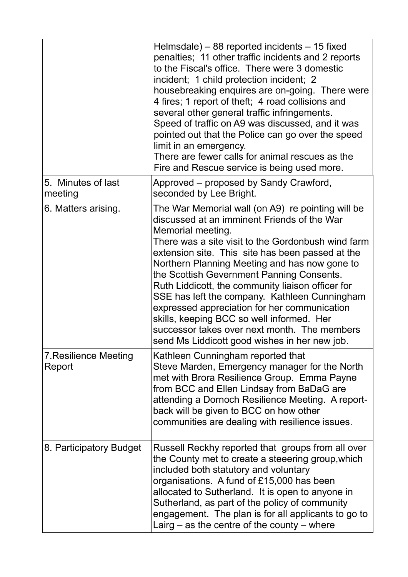|                                        | Helmsdale) $-$ 88 reported incidents $-$ 15 fixed<br>penalties; 11 other traffic incidents and 2 reports<br>to the Fiscal's office. There were 3 domestic<br>incident; 1 child protection incident; 2<br>housebreaking enquires are on-going. There were<br>4 fires; 1 report of theft; 4 road collisions and<br>several other general traffic infringements.<br>Speed of traffic on A9 was discussed, and it was<br>pointed out that the Police can go over the speed<br>limit in an emergency.<br>There are fewer calls for animal rescues as the<br>Fire and Rescue service is being used more.                                |
|----------------------------------------|-----------------------------------------------------------------------------------------------------------------------------------------------------------------------------------------------------------------------------------------------------------------------------------------------------------------------------------------------------------------------------------------------------------------------------------------------------------------------------------------------------------------------------------------------------------------------------------------------------------------------------------|
| 5. Minutes of last<br>meeting          | Approved – proposed by Sandy Crawford,<br>seconded by Lee Bright.                                                                                                                                                                                                                                                                                                                                                                                                                                                                                                                                                                 |
| 6. Matters arising.                    | The War Memorial wall (on A9) re pointing will be<br>discussed at an imminent Friends of the War<br>Memorial meeting.<br>There was a site visit to the Gordonbush wind farm<br>extension site. This site has been passed at the<br>Northern Planning Meeting and has now gone to<br>the Scottish Gevernment Panning Consents.<br>Ruth Liddicott, the community liaison officer for<br>SSE has left the company. Kathleen Cunningham<br>expressed appreciation for her communication<br>skills, keeping BCC so well informed. Her<br>successor takes over next month. The members<br>send Ms Liddicott good wishes in her new job. |
| <b>7. Resilience Meeting</b><br>Report | Kathleen Cunningham reported that<br>Steve Marden, Emergency manager for the North<br>met with Brora Resilience Group. Emma Payne<br>from BCC and Ellen Lindsay from BaDaG are<br>attending a Dornoch Resilience Meeting. A report-<br>back will be given to BCC on how other<br>communities are dealing with resilience issues.                                                                                                                                                                                                                                                                                                  |
| 8. Participatory Budget                | Russell Reckhy reported that groups from all over<br>the County met to create a steeering group, which<br>included both statutory and voluntary<br>organisations. A fund of £15,000 has been<br>allocated to Sutherland. It is open to anyone in<br>Sutherland, as part of the policy of community<br>engagement. The plan is for all applicants to go to<br>Lairg $-$ as the centre of the county $-$ where                                                                                                                                                                                                                      |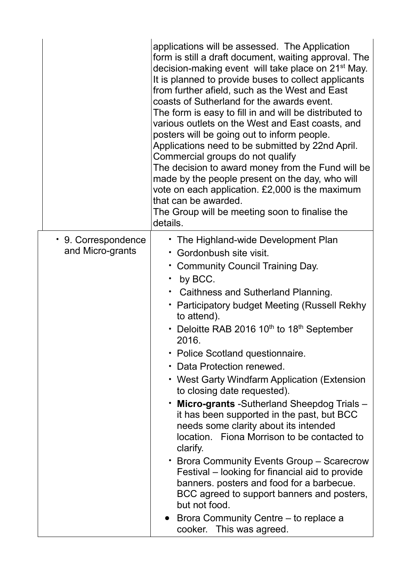|                                         | applications will be assessed. The Application<br>form is still a draft document, waiting approval. The<br>decision-making event will take place on 21 <sup>st</sup> May.<br>It is planned to provide buses to collect applicants<br>from further afield, such as the West and East<br>coasts of Sutherland for the awards event.<br>The form is easy to fill in and will be distributed to<br>various outlets on the West and East coasts, and<br>posters will be going out to inform people.<br>Applications need to be submitted by 22nd April.<br>Commercial groups do not qualify<br>The decision to award money from the Fund will be<br>made by the people present on the day, who will<br>vote on each application. £2,000 is the maximum<br>that can be awarded.<br>The Group will be meeting soon to finalise the<br>details.                                                                                                                    |
|-----------------------------------------|------------------------------------------------------------------------------------------------------------------------------------------------------------------------------------------------------------------------------------------------------------------------------------------------------------------------------------------------------------------------------------------------------------------------------------------------------------------------------------------------------------------------------------------------------------------------------------------------------------------------------------------------------------------------------------------------------------------------------------------------------------------------------------------------------------------------------------------------------------------------------------------------------------------------------------------------------------|
| • 9. Correspondence<br>and Micro-grants | • The Highland-wide Development Plan<br>• Gordonbush site visit.<br>• Community Council Training Day.<br>by BCC.<br>Caithness and Sutherland Planning.<br>• Participatory budget Meeting (Russell Rekhy<br>to attend).<br>Deloitte RAB 2016 10 <sup>th</sup> to 18 <sup>th</sup> September<br>2016.<br>• Police Scotland questionnaire.<br>Data Protection renewed.<br>• West Garty Windfarm Application (Extension<br>to closing date requested).<br><b>Micro-grants</b> -Sutherland Sheepdog Trials -<br>$\bullet$<br>it has been supported in the past, but BCC<br>needs some clarity about its intended<br>location. Fiona Morrison to be contacted to<br>clarify.<br>• Brora Community Events Group – Scarecrow<br>Festival – looking for financial aid to provide<br>banners. posters and food for a barbecue.<br>BCC agreed to support banners and posters,<br>but not food.<br>• Brora Community Centre – to replace a<br>cooker. This was agreed. |